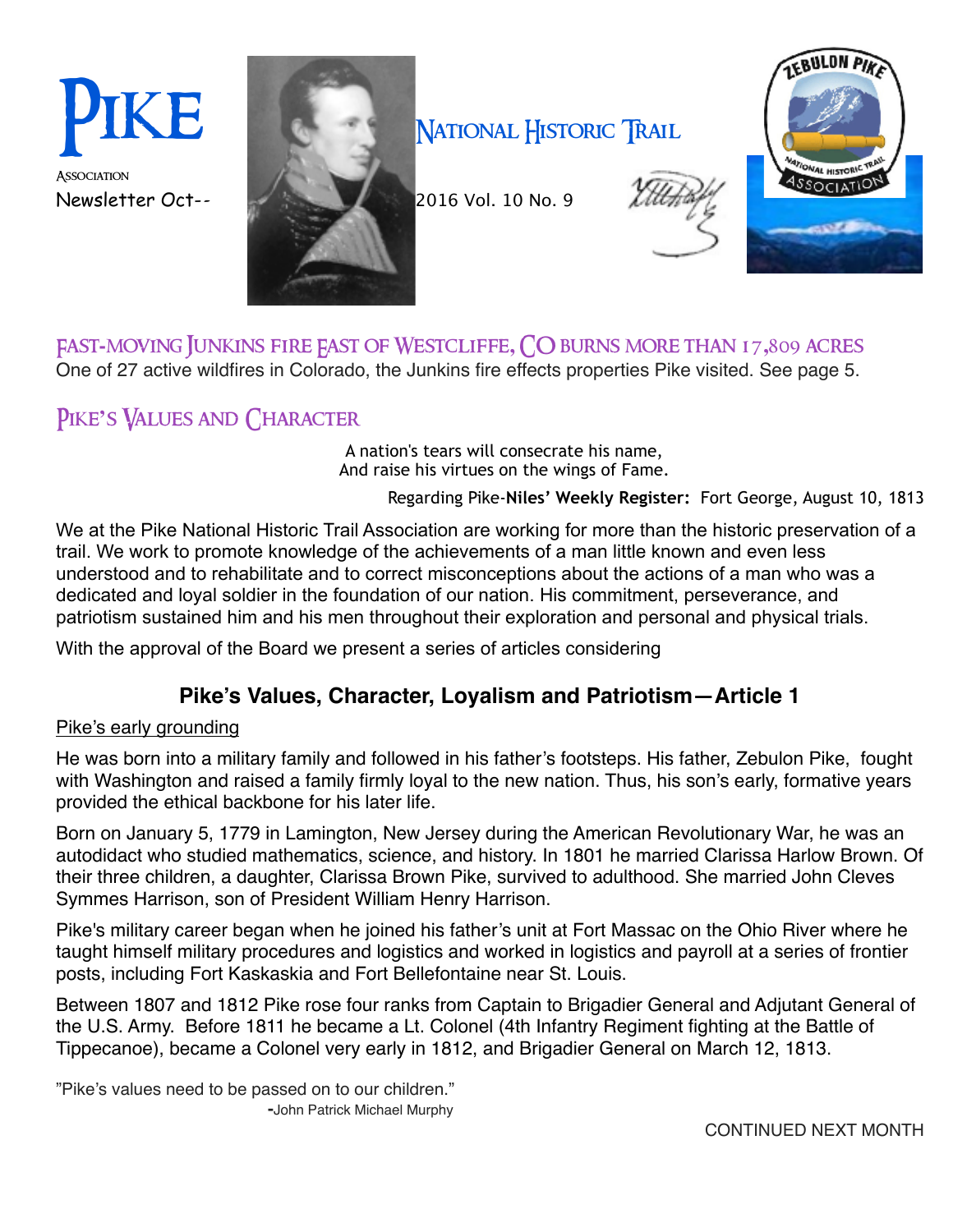Association



## NATIONAL HISTORIC TRAIL





## Fast**-**moving Junkins fire East of Westcliffe**,** CO burns more than 17**,**809 acres

One of 27 active wildfires in Colorado, the Junkins fire effects properties Pike visited. See page 5.

## Pike**'**s Values and Character

A nation's tears will consecrate his name, And raise his virtues on the wings of Fame.

Regarding Pike-**Niles' Weekly Register:** Fort George, August 10, 1813

We at the Pike National Historic Trail Association are working for more than the historic preservation of a trail. We work to promote knowledge of the achievements of a man little known and even less understood and to rehabilitate and to correct misconceptions about the actions of a man who was a dedicated and loyal soldier in the foundation of our nation. His commitment, perseverance, and patriotism sustained him and his men throughout their exploration and personal and physical trials.

With the approval of the Board we present a series of articles considering

## **Pike's Values, Character, Loyalism and Patriotism—Article 1**

### Pike's early grounding

He was born into a military family and followed in his father's footsteps. His father, Zebulon Pike, fought with Washington and raised a family firmly loyal to the new nation. Thus, his son's early, formative years provided the ethical backbone for his later life.

Born on January 5, 1779 in Lamington, New Jersey during the American Revolutionary War, he was an autodidact who studied mathematics, science, and history. In 1801 he married Clarissa Harlow Brown. Of their three children, a daughter, Clarissa Brown Pike, survived to adulthood. She married John Cleves Symmes Harrison, son of President William Henry Harrison.

Pike's military career began when he joined his father's unit at Fort Massac on the Ohio River where he taught himself military procedures and logistics and worked in [logistics](https://en.wikipedia.org/wiki/Logistics) and [payroll](https://en.wikipedia.org/wiki/Payroll) at a series of frontier posts, including Fort Kaskaskia and Fort Bellefontaine near St. Louis.

Between 1807 and 1812 Pike rose four ranks from Captain to Brigadier General and Adjutant General of the U.S. Army. Before 1811 he became a Lt. Colonel (4th Infantry Regiment fighting at the Battle of Tippecanoe), became a Colonel very early in 1812, and Brigadier General on March 12, 1813.

"Pike's values need to be passed on to our children."  **-**John Patrick Michael Murphy

CONTINUED NEXT MONTH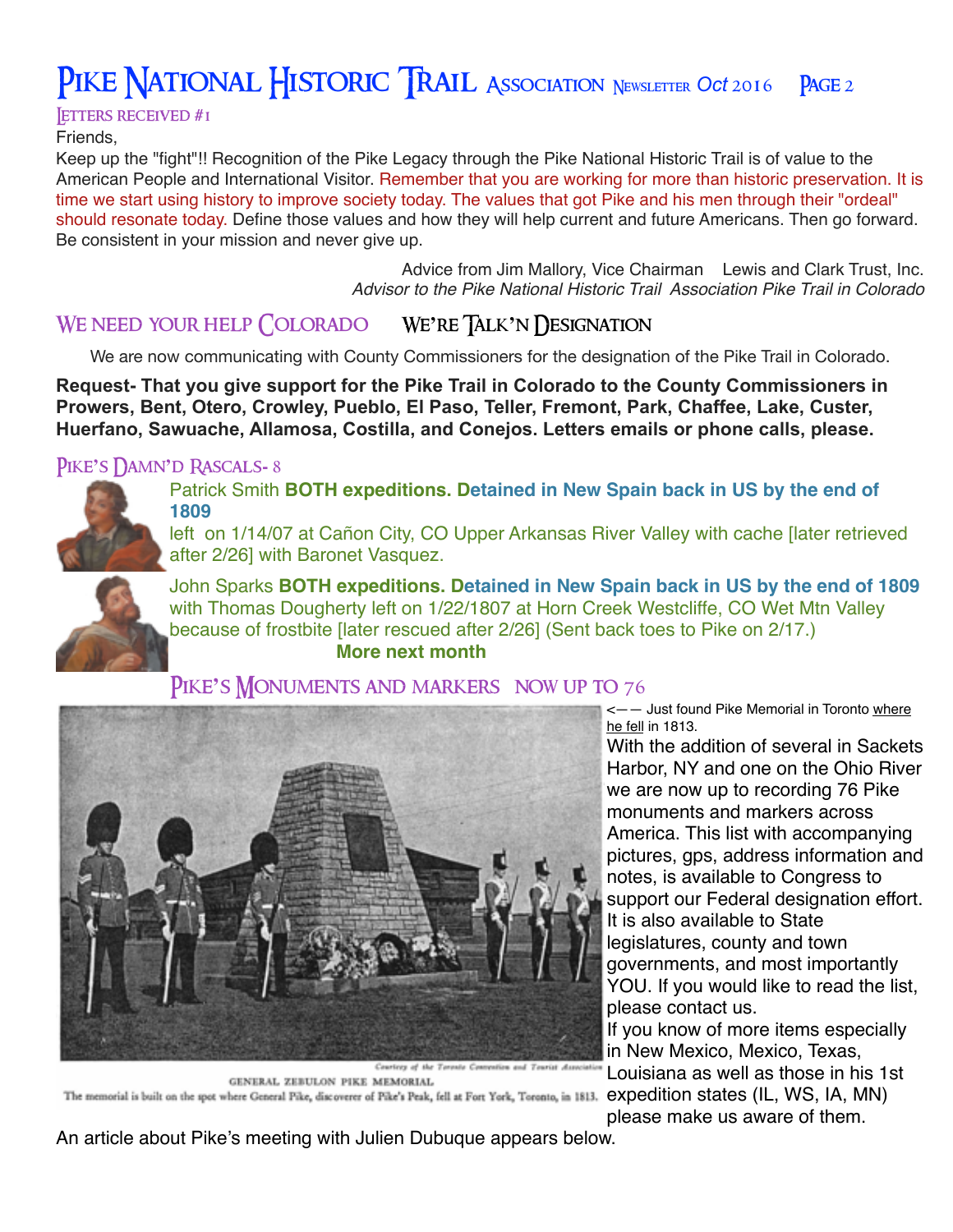Letters received **#**1

Friends,

Keep up the "fight"!! Recognition of the Pike Legacy through the Pike National Historic Trail is of value to the American People and International Visitor. Remember that you are working for more than historic preservation. It is time we start using history to improve society today. The values that got Pike and his men through their "ordeal" should resonate today. Define those values and how they will help current and future Americans. Then go forward. Be consistent in your mission and never give up.

> Advice from Jim Mallory, Vice Chairman Lewis and Clark Trust, Inc. *Advisor to the Pike National Historic Trail Association Pike Trail in Colorado*

## We need your help Colorado We**'**re Talk**'**n Designation

We are now communicating with County Commissioners for the designation of the Pike Trail in Colorado.

**Request- That you give support for the Pike Trail in Colorado to the County Commissioners in Prowers, Bent, Otero, Crowley, Pueblo, El Paso, Teller, Fremont, Park, Chaffee, Lake, Custer, Huerfano, Sawuache, Allamosa, Costilla, and Conejos. Letters emails or phone calls, please.**

### Pike**'**s Damn**'**d Rascals**-** 8



Patrick Smith **BOTH expeditions. Detained in New Spain back in US by the end of 1809** 

left on 1/14/07 at Cañon City, CO Upper Arkansas River Valley with cache [later retrieved after 2/26] with Baronet Vasquez.



John Sparks **BOTH expeditions. Detained in New Spain back in US by the end of 1809**  with Thomas Dougherty left on 1/22/1807 at Horn Creek Westcliffe, CO Wet Mtn Valley because of frostbite [later rescued after 2/26] (Sent back toes to Pike on 2/17.) **More next month**

### PIKE'S **MONUMENTS AND MARKERS** NOW UP TO 76



<—— Just found Pike Memorial in Toronto where he fell in 1813.

With the addition of several in Sackets Harbor, NY and one on the Ohio River we are now up to recording 76 Pike monuments and markers across America. This list with accompanying pictures, gps, address information and notes, is available to Congress to support our Federal designation effort. It is also available to State legislatures, county and town governments, and most importantly YOU. If you would like to read the list, please contact us.

If you know of more items especially in New Mexico, Mexico, Texas,

Louisiana as well as those in his 1st

please make us aware of them.

GENERAL ZEBULON PIKE MEMORIAL The memorial is built on the spot where General Pike, discoverer of Pike's Peak, fell at Fort York, Toronto, in 1813. expedition states (IL, WS, IA, MN)

An article about Pike's meeting with Julien Dubuque appears below.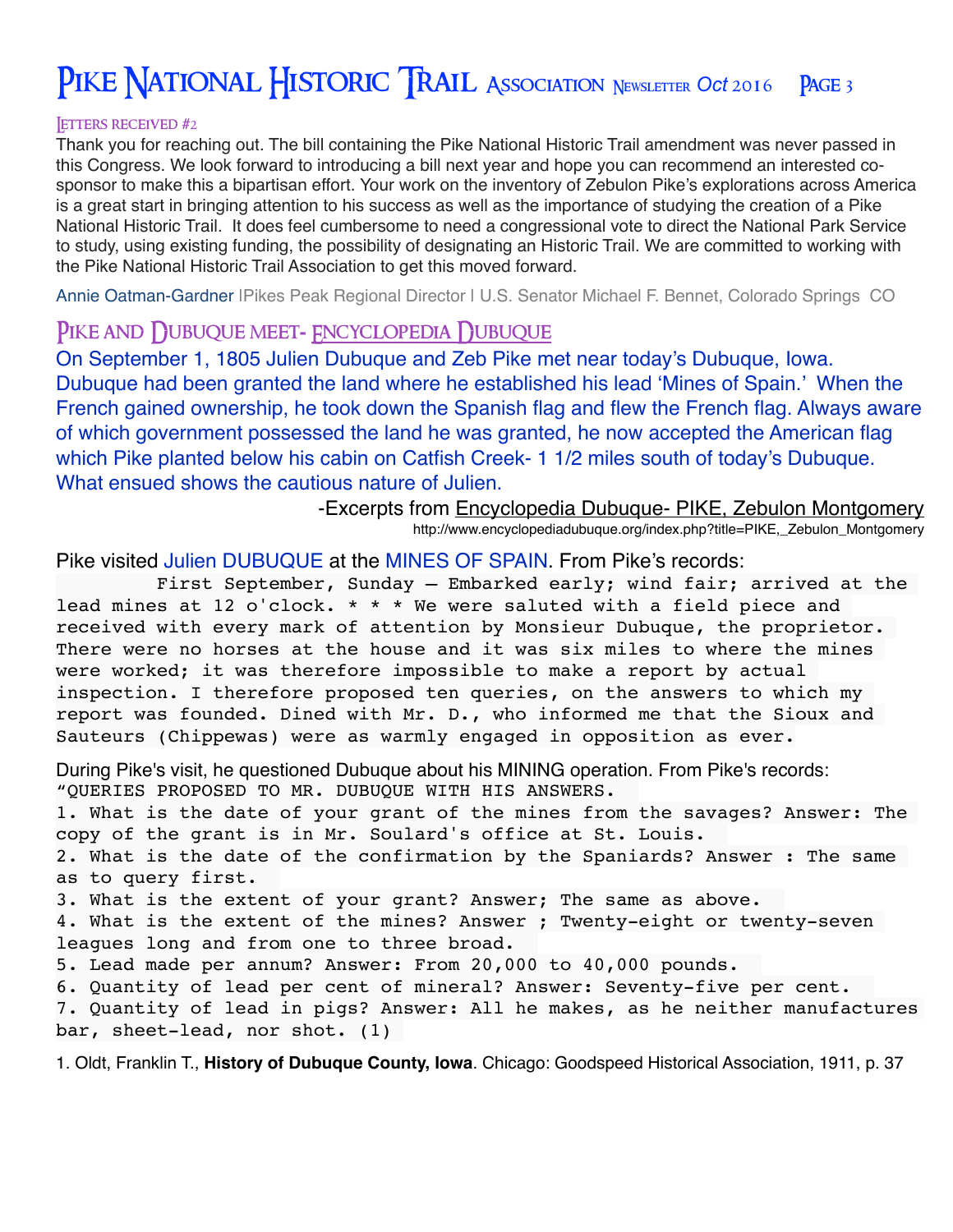#### Letters received **#**2

Thank you for reaching out. The bill containing the Pike National Historic Trail amendment was never passed in this Congress. We look forward to introducing a bill next year and hope you can recommend an interested cosponsor to make this a bipartisan effort. Your work on the inventory of Zebulon Pike's explorations across America is a great start in bringing attention to his success as well as the importance of studying the creation of a Pike National Historic Trail. It does feel cumbersome to need a congressional vote to direct the National Park Service to study, using existing funding, the possibility of designating an Historic Trail. We are committed to working with the Pike National Historic Trail Association to get this moved forward.

Annie Oatman-Gardner IPikes Peak Regional Director I U.S. Senator Michael F. Bennet, Colorado Springs CO

#### PIKE AND DUBUQUE MEET-**FNCYCLOPEDIA** DUBUQUE

On September 1, 1805 Julien Dubuque and Zeb Pike met near today's Dubuque, Iowa. Dubuque had been granted the land where he established his lead 'Mines of Spain.' When the French gained ownership, he took down the Spanish flag and flew the French flag. Always aware of which government possessed the land he was granted, he now accepted the American flag which Pike planted below his cabin on Catfish Creek- 1 1/2 miles south of today's Dubuque. What ensued shows the cautious nature of Julien.

> -Excerpts from Encyclopedia Dubuque- PIKE, Zebulon Montgomery http://www.encyclopediadubuque.org/index.php?title=PIKE,\_Zebulon\_Montgomery

Pike visited [Julien DUBUQUE](http://www.encyclopediadubuque.org/index.php?title=DUBUQUE,_Julien) at the [MINES OF SPAIN](http://www.encyclopediadubuque.org/index.php?title=MINES_OF_SPAIN). From Pike's records:

 First September, Sunday — Embarked early; wind fair; arrived at the lead mines at 12 o'clock. \* \* \* We were saluted with a field piece and received with every mark of attention by Monsieur Dubuque, the proprietor. There were no horses at the house and it was six miles to where the mines were worked; it was therefore impossible to make a report by actual inspection. I therefore proposed ten queries, on the answers to which my report was founded. Dined with Mr. D., who informed me that the Sioux and Sauteurs (Chippewas) were as warmly engaged in opposition as ever.

During Pike's visit, he questioned Dubuque about his MINING operation. From Pike's records: "QUERIES PROPOSED TO MR. DUBUQUE WITH HIS ANSWERS.

1. What is the date of your grant of the mines from the savages? Answer: The copy of the grant is in Mr. Soulard's office at St. Louis.

2. What is the date of the confirmation by the Spaniards? Answer : The same as to query first.

3. What is the extent of your grant? Answer; The same as above.

4. What is the extent of the mines? Answer ; Twenty-eight or twenty-seven leagues long and from one to three broad.

5. Lead made per annum? Answer: From 20,000 to 40,000 pounds.

6. Quantity of lead per cent of mineral? Answer: Seventy-five per cent.

7. Quantity of lead in pigs? Answer: All he makes, as he neither manufactures bar, sheet-lead, nor shot. (1)

1. Oldt, Franklin T., **History of Dubuque County, Iowa**. Chicago: Goodspeed Historical Association, 1911, p. 37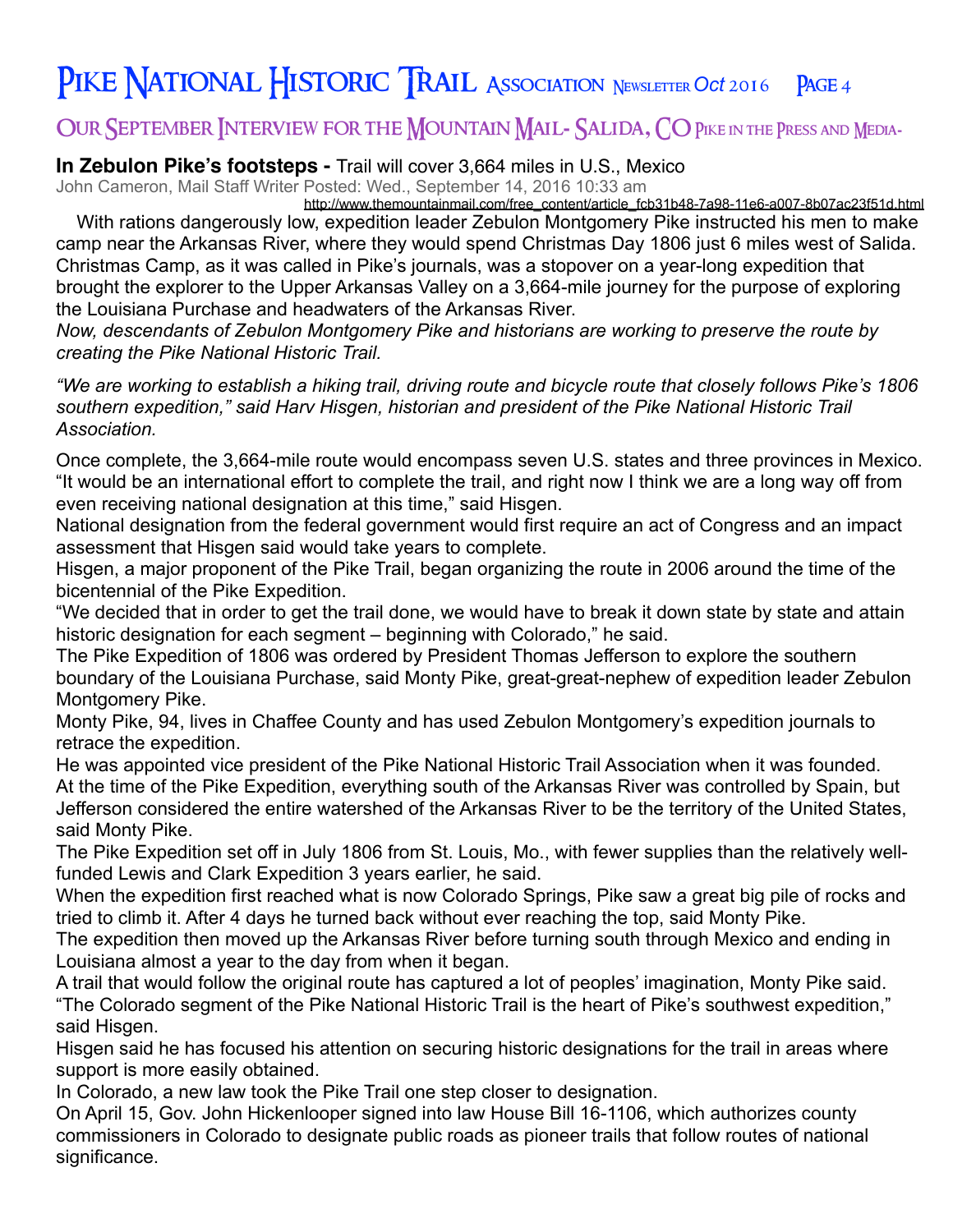## Our September Interview for the Mountain Mail**-** Salida**,** CO Pike in the Press and Media**-**

### **In Zebulon Pike's footsteps -** Trail will cover 3,664 miles in U.S., Mexico

John Cameron, Mail Staff Writer Posted: Wed., September 14, 2016 10:33 am

[http://www.themountainmail.com/free\\_content/article\\_fcb31b48-7a98-11e6-a007-8b07ac23f51d.html](http://www.themountainmail.com/free_content/article_fcb31b48-7a98-11e6-a007-8b07ac23f51d.html) With rations dangerously low, expedition leader Zebulon Montgomery Pike instructed his men to make camp near the Arkansas River, where they would spend Christmas Day 1806 just 6 miles west of Salida. Christmas Camp, as it was called in Pike's journals, was a stopover on a year-long expedition that brought the explorer to the Upper Arkansas Valley on a 3,664-mile journey for the purpose of exploring the Louisiana Purchase and headwaters of the Arkansas River.

*Now, descendants of Zebulon Montgomery Pike and historians are working to preserve the route by creating the Pike National Historic Trail.*

*"We are working to establish a hiking trail, driving route and bicycle route that closely follows Pike's 1806 southern expedition," said Harv Hisgen, historian and president of the Pike National Historic Trail Association.*

Once complete, the 3,664-mile route would encompass seven U.S. states and three provinces in Mexico. "It would be an international effort to complete the trail, and right now I think we are a long way off from even receiving national designation at this time," said Hisgen.

National designation from the federal government would first require an act of Congress and an impact assessment that Hisgen said would take years to complete.

Hisgen, a major proponent of the Pike Trail, began organizing the route in 2006 around the time of the bicentennial of the Pike Expedition.

"We decided that in order to get the trail done, we would have to break it down state by state and attain historic designation for each segment – beginning with Colorado," he said.

The Pike Expedition of 1806 was ordered by President Thomas Jefferson to explore the southern boundary of the Louisiana Purchase, said Monty Pike, great-great-nephew of expedition leader Zebulon Montgomery Pike.

Monty Pike, 94, lives in Chaffee County and has used Zebulon Montgomery's expedition journals to retrace the expedition.

He was appointed vice president of the Pike National Historic Trail Association when it was founded. At the time of the Pike Expedition, everything south of the Arkansas River was controlled by Spain, but Jefferson considered the entire watershed of the Arkansas River to be the territory of the United States, said Monty Pike.

The Pike Expedition set off in July 1806 from St. Louis, Mo., with fewer supplies than the relatively wellfunded Lewis and Clark Expedition 3 years earlier, he said.

When the expedition first reached what is now Colorado Springs, Pike saw a great big pile of rocks and tried to climb it. After 4 days he turned back without ever reaching the top, said Monty Pike.

The expedition then moved up the Arkansas River before turning south through Mexico and ending in Louisiana almost a year to the day from when it began.

A trail that would follow the original route has captured a lot of peoples' imagination, Monty Pike said. "The Colorado segment of the Pike National Historic Trail is the heart of Pike's southwest expedition," said Hisgen.

Hisgen said he has focused his attention on securing historic designations for the trail in areas where support is more easily obtained.

In Colorado, a new law took the Pike Trail one step closer to designation.

On April 15, Gov. John Hickenlooper signed into law House Bill 16-1106, which authorizes county commissioners in Colorado to designate public roads as pioneer trails that follow routes of national significance.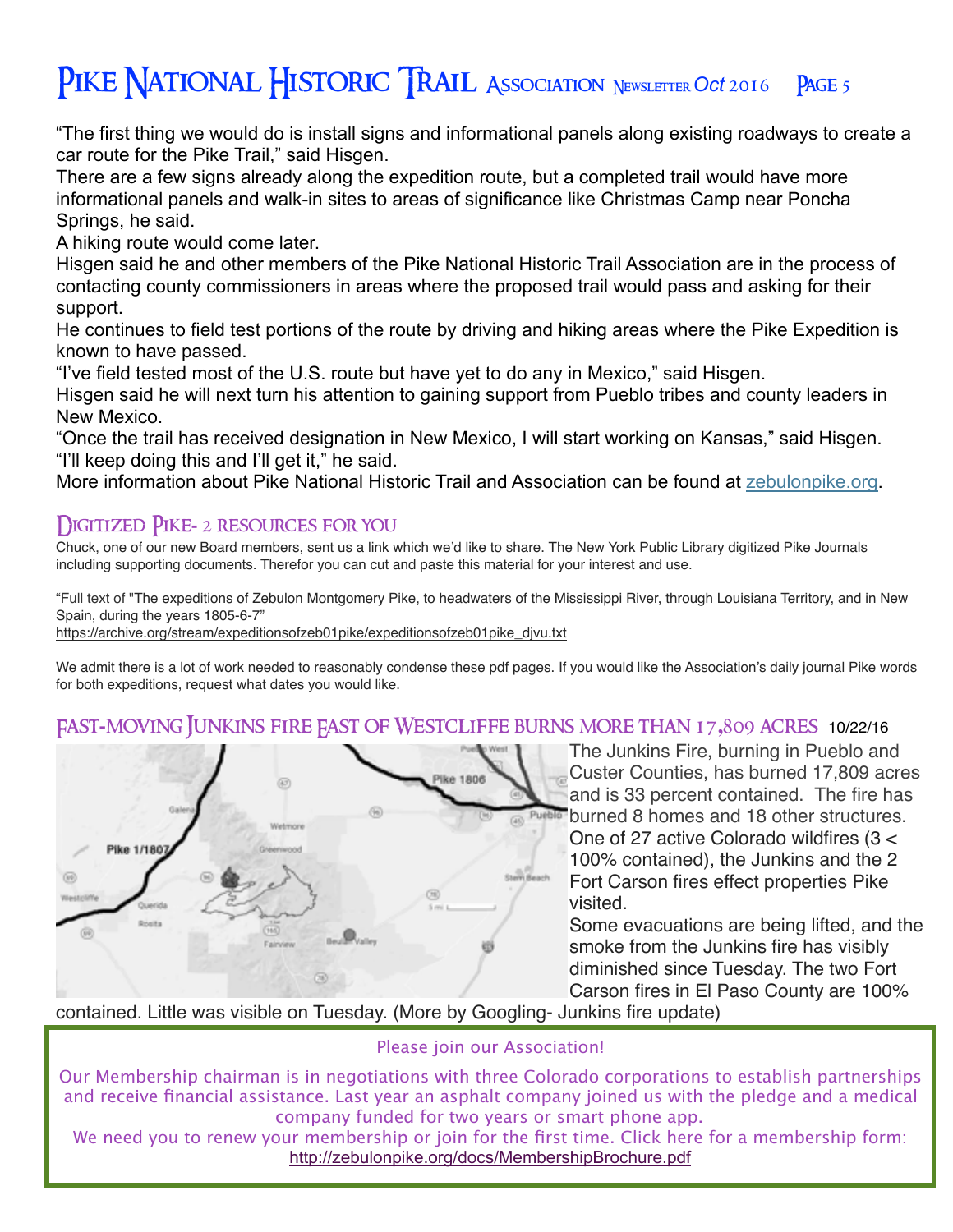"The first thing we would do is install signs and informational panels along existing roadways to create a car route for the Pike Trail," said Hisgen.

There are a few signs already along the expedition route, but a completed trail would have more informational panels and walk-in sites to areas of significance like Christmas Camp near Poncha Springs, he said.

A hiking route would come later.

Hisgen said he and other members of the Pike National Historic Trail Association are in the process of contacting county commissioners in areas where the proposed trail would pass and asking for their support.

He continues to field test portions of the route by driving and hiking areas where the Pike Expedition is known to have passed.

"I've field tested most of the U.S. route but have yet to do any in Mexico," said Hisgen.

Hisgen said he will next turn his attention to gaining support from Pueblo tribes and county leaders in New Mexico.

"Once the trail has received designation in New Mexico, I will start working on Kansas," said Hisgen. "I'll keep doing this and I'll get it," he said.

More information about Pike National Historic Trail and Association can be found at [zebulonpike.org](http://zebulonpike.org/).

## Digitized Pike**-** 2 resources for you

Chuck, one of our new Board members, sent us a link which we'd like to share. The New York Public Library digitized Pike Journals including supporting documents. Therefor you can cut and paste this material for your interest and use.

["Full text of "The expeditions of Zebulon Montgomery Pike, to headwaters of the Mississippi River, through Louisiana Territory, and in New](https://archive.org/details/expeditionsofzeb01pike)  Spain, during the years 1805-6-7"

[https://archive.org/stream/expeditionsofzeb01pike/expeditionsofzeb01pike\\_djvu.txt](https://archive.org/stream/expeditionsofzeb01pike/expeditionsofzeb01pike_djvu.txt)

We admit there is a lot of work needed to reasonably condense these pdf pages. If you would like the Association's daily journal Pike words for both expeditions, request what dates you would like.

## Fast**-**moving Junkins fire East of Westcliffe burns more than 17**,**809 acres 10/22/16



The Junkins Fire, burning in Pueblo and Custer Counties, has burned 17,809 acres and is 33 percent contained. The fire has burned 8 homes and 18 other structures. One of 27 active Colorado wildfires (3 < 100% contained), the Junkins and the 2 Fort Carson fires effect properties Pike visited.

Some evacuations are being lifted, and the smoke from the Junkins fire has visibly diminished since Tuesday. The two Fort Carson fires in El Paso County are 100%

contained. Little was visible on Tuesday. (More by Googling- Junkins fire update)

#### Please join our Association!

Our Membership chairman is in negotiations with three Colorado corporations to establish partnerships and receive financial assistance. Last year an asphalt company joined us with the pledge and a medical company funded for two years or smart phone app.

We need you to renew your membership or join for the first time. Click here for a membership form: <http://zebulonpike.org/docs/MembershipBrochure.pdf>